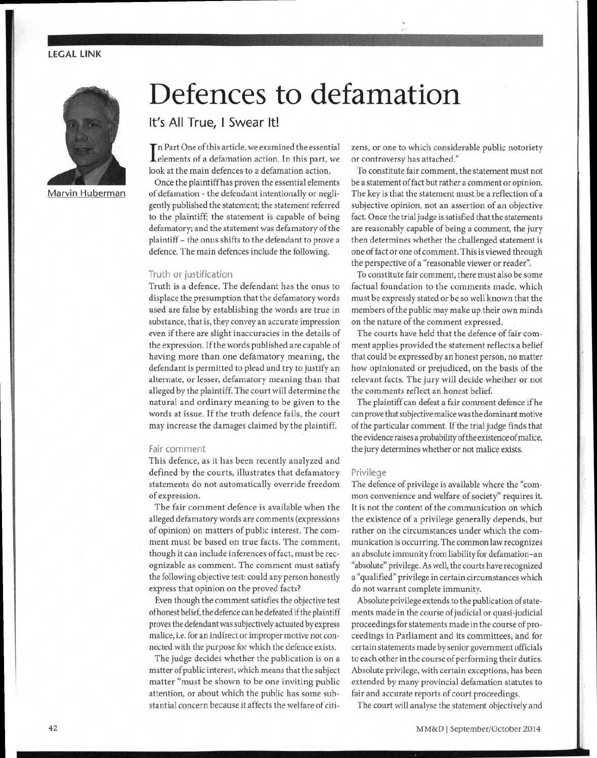# LEGAL LINK



Marvin Huberman

# Defences to defamation

**It's All True, I Swear It!** 

In Fart one of this article, we examined the essential elements of a defamation action. In this part, we Tn Part One of this article, we examined the essential look at the main defences to a defamation action.

Once the plaintiff has proven the essential elements of defamation - the defendant intentionally or negligently published the statement; the statement referred to the plaintiff; the statement is capable of being defamatory, and the statement was defamatory of the plaintiff - the onus shifts to the defendant to prove a defence. The main defences include the following.

#### Truth or justification

Truth is a defence. The defendant has the onus to displace the presumption that the defamatory words used are false by establishing the words are true in substance, that is, they convey an accurate impression even if there are slight inaccuracies in the details of the expression. If the words published are capable of having more than one defamatory meaning, the defendant is permitted to plead and try to justify an alternate, or lesser, defamatory meaning than that alleged by the plaintiff. The court will determine the natural and ordinary meaning to be given to the words at issue. If the truth defence fails, the court may increase the damages claimed by the plaintiff.

#### Fair comment

This defence, as it has been recently analyzed and defined by the courts, illustrates that defamatory statements do not automatically override freedom of expression.

The fair comment defence is available when the alleged defamatory words are comments (expressions of opinion) on matters of public interest. The comment must be based on true facts. The comment, though it can include inferences of fact, must be recognizable as comment. The comment must satisfy the following objective test: could any person honestly express that opinion on the proved facts?

Even though the comment satisfies the objective test of honest belief, the defence can be defeated if the plaintiff proves the defendant was subjectively actuated by express malice, i.e. for an indirect or improper motive not connected with the purpose for which the defence exists.

The judge decides whether the publication is on a matter of public interest, which means that the subject matter "must be shown to be one inviting public attention, or about which the public has some substantial concern because it affects the welfare of citizens, or one to which considerable public notoriety or controversy has attached."

To constitute fair comment, the statement must not be a statement of fact but rather a comment or opinion. The key is that the statement must be a reflection of a subjective opinion, not an assertion of an objective fact. Once the trial judge is satisfied that the statements are reasonably capable of being a comment, the jury then determines whether the challenged statement is one of fact or one of comment. This is viewed through the perspective of a "reasonable viewer or reader".

To constitute fair comment, there must also be some factual foundation to the comments made, which must be expressly stated or be so well known that the members of the public may make up their own minds on the nature of the comment expressed.

The courts have held that the defence of fair comment applies provided the statement reflects a belief that could be expressed by an honest person, no matter how opinionated or prejudiced, on the basis of the relevant facts. The jury will decide whether or not the comments reflect an honest belief.

The plaintiff can defeat a fair comment defence if he can prove that subjective malice was the dominant motive of the particular comment. If the trial judge finds that the evidence raises a probability of the existence of malice, the jury determines whether or not malice exists.

### Privilege

The defence of privilege is available where the "common convenience and welfare of society" requires it. It is not the content of the communication on which the existence of a privilege generally depends, but rather on the circumstances under which the communication is occurring. The common law recognizes an absolute immunity from liability for defamation-an "absolute" privilege. As well, the courts have recognized a "qualified" privilege in certain circumstances which do not warrant complete immunity.

Absolute privilege extends to the publication of statements made in the course of judicial or quasi-judicial proceedings for statements made in the course of proceedings in Parliament and its committees, and for certain statements made by senior government officials to each other in the course of performing their duties. Absolute privilege, with certain exceptions, has been extended by many provincial defamation statutes to fair and accurate reports of court proceedings.

The court will analyse the statement objectively and